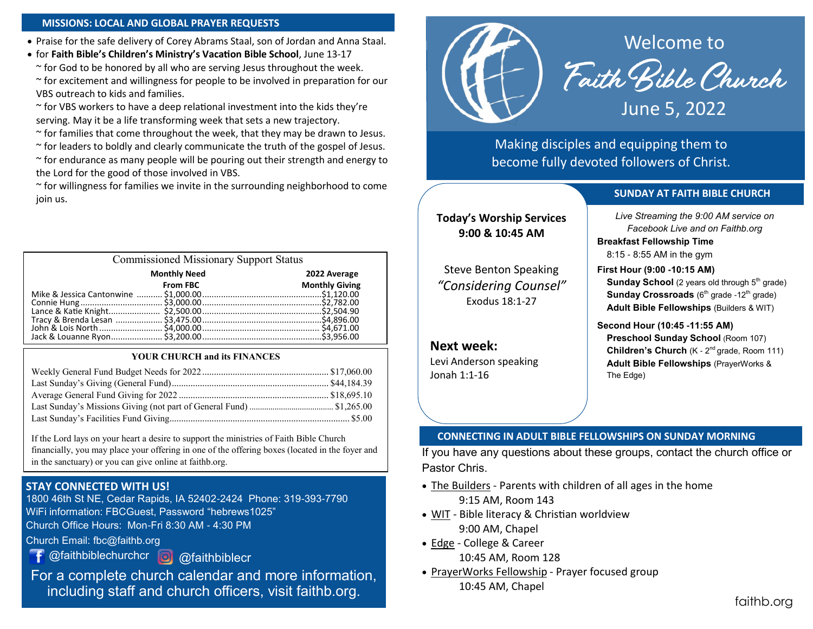#### **MISSIONS: LOCAL AND GLOBAL PRAYER REQUESTS**

• Praise for the safe delivery of Corey Abrams Staal, son of Jordan and Anna Staal.

• for **Faith Bible's Children's Ministry's Vacation Bible School**, June 13-17 ~ for God to be honored by all who are serving Jesus throughout the week. ~ for excitement and willingness for people to be involved in preparation for our VBS outreach to kids and families.

 $\sim$  for VBS workers to have a deep relational investment into the kids they're serving. May it be a life transforming week that sets a new trajectory.

 $\sim$  for families that come throughout the week, that they may be drawn to Jesus.

~ for leaders to boldly and clearly communicate the truth of the gospel of Jesus.

 $\sim$  for endurance as many people will be pouring out their strength and energy to the Lord for the good of those involved in VBS.

~ for willingness for families we invite in the surrounding neighborhood to come join us.

| <b>Commissioned Missionary Support Status</b> |                       |  |
|-----------------------------------------------|-----------------------|--|
| <b>Monthly Need</b>                           | 2022 Average          |  |
| <b>From FBC</b>                               | <b>Monthly Giving</b> |  |
|                                               |                       |  |
|                                               |                       |  |
|                                               |                       |  |
|                                               |                       |  |
|                                               |                       |  |
|                                               |                       |  |
|                                               |                       |  |

#### **YOUR CHURCH and its FINANCES**

If the Lord lays on your heart a desire to support the ministries of Faith Bible Church financially, you may place your offering in one of the offering boxes (located in the foyer and in the sanctuary) or you can give online at faithb.org.

## **STAY CONNECTED WITH US!**

1800 46th St NE, Cedar Rapids, IA 52402-2424 Phone: 319-393-7790 WiFi information: FBCGuest, Password "hebrews1025" Church Office Hours: Mon-Fri 8:30 AM - 4:30 PM

Church Email: fbc@faithb.org

@faithbiblechurchcr @faithbiblecr

For a complete church calendar and more information, including staff and church officers, visit faithb.org.



Faith Bible Church

June 5, 2022

Making disciples and equipping them to become fully devoted followers of Christ.

#### **SUNDAY AT FAITH BIBLE CHURCH**

**Today's Worship Services 9:00 & 10:45 AM**

Steve Benton Speaking *"Considering Counsel"* Exodus 18:1-27

**Next week:**

Levi Anderson speaking Jonah 1:1-16

*Live Streaming the 9:00 AM service on Facebook Live and on Faithb.org*

**Breakfast Fellowship Time**

8:15 - 8:55 AM in the gym

**First Hour (9:00 -10:15 AM)**

**Sunday School** (2 years old through 5<sup>th</sup> grade) **Sunday Crossroads** (6<sup>th</sup> grade -12<sup>th</sup> grade) **Adult Bible Fellowships** (Builders & WIT)

**Second Hour (10:45 -11:55 AM) Preschool Sunday School** (Room 107) **Children's Church** (K - 2<sup>nd</sup> grade, Room 111) **Adult Bible Fellowships** (PrayerWorks & The Edge)

#### **CONNECTING IN ADULT BIBLE FELLOWSHIPS ON SUNDAY MORNING**

If you have any questions about these groups, contact the church office or Pastor Chris.

- The Builders Parents with children of all ages in the home 9:15 AM, Room 143
- WIT Bible literacy & Christian worldview 9:00 AM, Chapel
- Edge College & Career 10:45 AM, Room 128
- PrayerWorks Fellowship Prayer focused group 10:45 AM, Chapel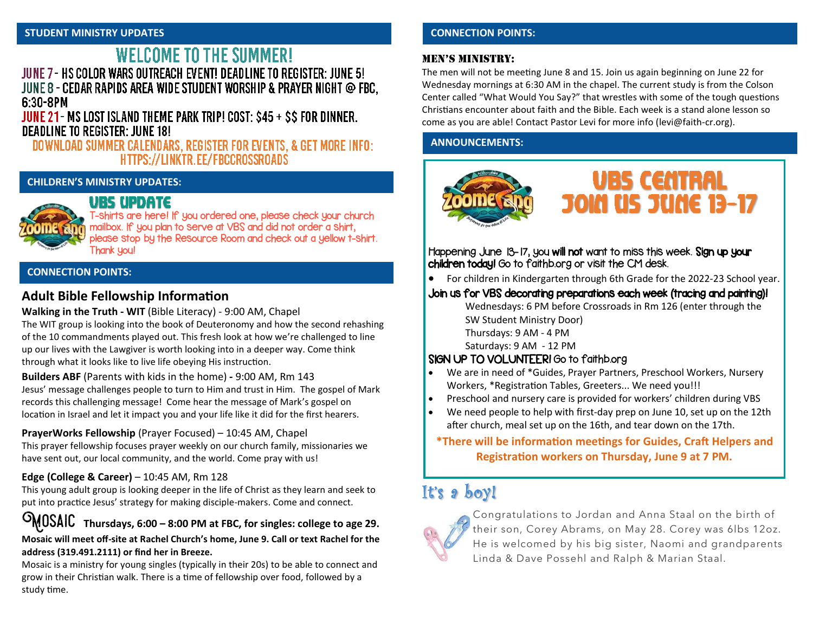## **WELCOME TO THE SUMMER!** JUNE 7 - HS COLOR WARS OUTREACH EVENT! DEADLINE TO REGISTER: JUNE 5! JUNE 8 - CEDAR RAPIDS AREA WIDE STUDENT WORSHIP & PRAYER NIGHT @ FBC. 6:30-8PM

JUNE 21 - MS LOST ISLAND THEME PARK TRIP! COST: \$45 + \$\$ FOR DINNER. **DEADLINE TO REGISTER: JUNE 18!** 

## DOWNLOAD SUMMER CALENDARS, REGISTER FOR EVENTS, & GET MORE INFO: HTTPS://LINKTR.EE/FBCCROSSROADS

#### **CHILDREN'S MINISTRY UPDATES:**



# URS IIPDATE

T-shirts are here! If you ordered one, please check your church mailbox. If you plan to serve at VBS and did not order a shirt, please stop by the Resource Room and check out a yellow t-shirt. Thank you!

#### **CONNECTION POINTS:**

## **Adult Bible Fellowship Information**

### **Walking in the Truth - WIT** (Bible Literacy) - 9:00 AM, Chapel

The WIT group is looking into the book of Deuteronomy and how the second rehashing of the 10 commandments played out. This fresh look at how we're challenged to line up our lives with the Lawgiver is worth looking into in a deeper way. Come think through what it looks like to live life obeying His instruction.

**Builders ABF** (Parents with kids in the home) **-** 9:00 AM, Rm 143 Jesus' message challenges people to turn to Him and trust in Him. The gospel of Mark records this challenging message! Come hear the message of Mark's gospel on location in Israel and let it impact you and your life like it did for the first hearers.

## **PrayerWorks Fellowship** (Prayer Focused) – 10:45 AM, Chapel

This prayer fellowship focuses prayer weekly on our church family, missionaries we have sent out, our local community, and the world. Come pray with us!

## **Edge (College & Career)** – 10:45 AM, Rm 128

This young adult group is looking deeper in the life of Christ as they learn and seek to put into practice Jesus' strategy for making disciple-makers. Come and connect.

Mosaic **Thursdays, 6:00 – 8:00 PM at FBC, for singles: college to age 29.**

#### **Mosaic will meet off-site at Rachel Church's home, June 9. Call or text Rachel for the address (319.491.2111) or find her in Breeze.**

Mosaic is a ministry for young singles (typically in their 20s) to be able to connect and grow in their Christian walk. There is a time of fellowship over food, followed by a study time.

## **CONNECTION POINTS:**

### Men's Ministry:

The men will not be meeting June 8 and 15. Join us again beginning on June 22 for Wednesday mornings at 6:30 AM in the chapel. The current study is from the Colson Center called "What Would You Say?" that wrestles with some of the tough questions Christians encounter about faith and the Bible. Each week is a stand alone lesson so come as you are able! Contact Pastor Levi for more info ([levi@faith](mailto:levi@faith-cr.org)-cr.org).

## **ANNOUNCEMENTS:**



Happening June 13-17, you will not want to miss this week. Sign up your children today! Go to faithb.org or visit the CM desk.

• For children in Kindergarten through 6th Grade for the 2022-23 School year.

## Join us for VBS decorating preparations each week (tracing and painting)!

Wednesdays: 6 PM before Crossroads in Rm 126 (enter through the SW Student Ministry Door) Thursdays: 9 AM - 4 PM Saturdays: 9 AM - 12 PM

## SIGN UP TO VOLUNTEER! Go to faithb.org

- We are in need of \*Guides, Prayer Partners, Preschool Workers, Nursery Workers, \*Registration Tables, Greeters... We need you!!!
- Preschool and nursery care is provided for workers' children during VBS
- We need people to help with first-day prep on June 10, set up on the 12th after church, meal set up on the 16th, and tear down on the 17th.

**\*There will be information meetings for Guides, Craft Helpers and Registration workers on Thursday, June 9 at 7 PM.**

# It's a boy!



Congratulations to Jordan and Anna Staal on the birth of their son, Corey Abrams, on May 28. Corey was 6lbs 12oz. He is welcomed by his big sister, Naomi and grandparents Linda & Dave Possehl and Ralph & Marian Staal.